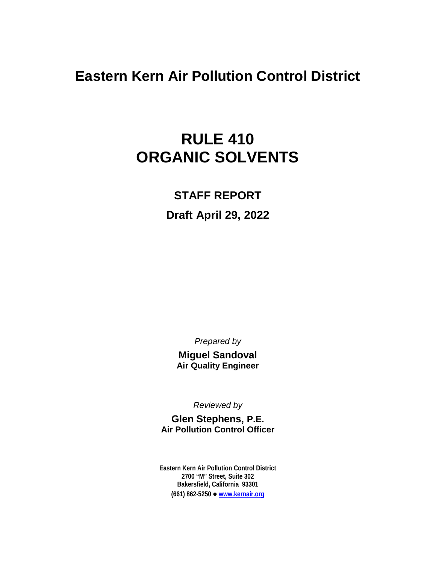# **Eastern Kern Air Pollution Control District**

# **RULE 410 ORGANIC SOLVENTS**

### **STAFF REPORT**

## **Draft April 29, 2022**

*Prepared by*

**Miguel Sandoval Air Quality Engineer**

*Reviewed by*

**Glen Stephens, P.E. Air Pollution Control Officer**

**Eastern Kern Air Pollution Control District 2700 "M" Street, Suite 302 Bakersfield, California 93301 (661) 862-5250 [www.kernair.org](http://www.kernair.org/)**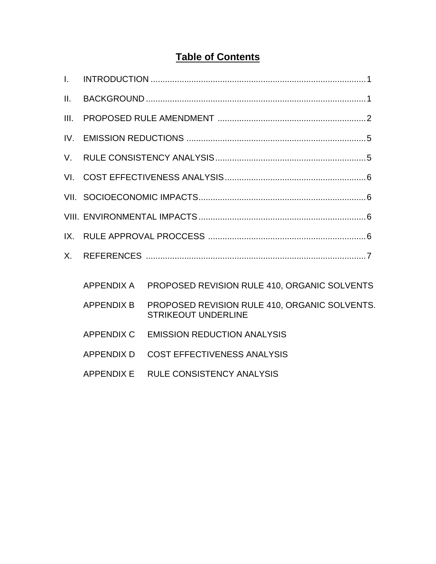## **Table of Contents**

| L.   |                   |                                                                             |  |  |  |
|------|-------------------|-----------------------------------------------------------------------------|--|--|--|
| II.  |                   |                                                                             |  |  |  |
| III. |                   |                                                                             |  |  |  |
| IV.  |                   |                                                                             |  |  |  |
| V.   |                   |                                                                             |  |  |  |
| VI.  |                   |                                                                             |  |  |  |
|      |                   |                                                                             |  |  |  |
|      |                   |                                                                             |  |  |  |
| IX.  |                   |                                                                             |  |  |  |
| Χ.   |                   |                                                                             |  |  |  |
|      | APPENDIX A        | PROPOSED REVISION RULE 410, ORGANIC SOLVENTS                                |  |  |  |
|      | <b>APPENDIX B</b> | PROPOSED REVISION RULE 410, ORGANIC SOLVENTS.<br><b>STRIKEOUT UNDERLINE</b> |  |  |  |
|      | APPENDIX C        | <b>EMISSION REDUCTION ANALYSIS</b>                                          |  |  |  |
|      | <b>APPENDIX D</b> | <b>COST EFFECTIVENESS ANALYSIS</b>                                          |  |  |  |
|      | <b>APPENDIX E</b> | <b>RULE CONSISTENCY ANALYSIS</b>                                            |  |  |  |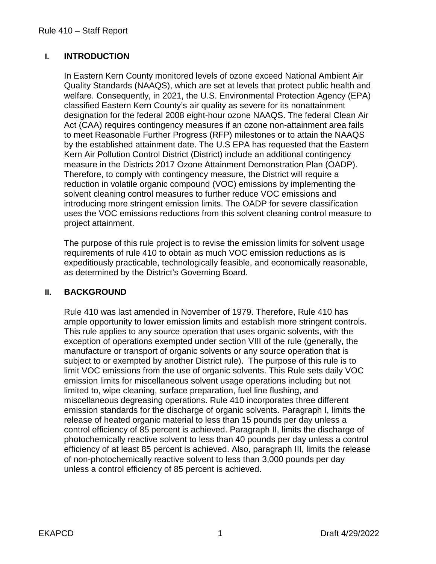#### **I. INTRODUCTION**

In Eastern Kern County monitored levels of ozone exceed National Ambient Air Quality Standards (NAAQS), which are set at levels that protect public health and welfare. Consequently, in 2021, the U.S. Environmental Protection Agency (EPA) classified Eastern Kern County's air quality as severe for its nonattainment designation for the federal 2008 eight-hour ozone NAAQS. The federal Clean Air Act (CAA) requires contingency measures if an ozone non-attainment area fails to meet Reasonable Further Progress (RFP) milestones or to attain the NAAQS by the established attainment date. The U.S EPA has requested that the Eastern Kern Air Pollution Control District (District) include an additional contingency measure in the Districts 2017 Ozone Attainment Demonstration Plan (OADP). Therefore, to comply with contingency measure, the District will require a reduction in volatile organic compound (VOC) emissions by implementing the solvent cleaning control measures to further reduce VOC emissions and introducing more stringent emission limits. The OADP for severe classification uses the VOC emissions reductions from this solvent cleaning control measure to project attainment.

The purpose of this rule project is to revise the emission limits for solvent usage requirements of rule 410 to obtain as much VOC emission reductions as is expeditiously practicable, technologically feasible, and economically reasonable, as determined by the District's Governing Board.

#### **II. BACKGROUND**

Rule 410 was last amended in November of 1979. Therefore, Rule 410 has ample opportunity to lower emission limits and establish more stringent controls. This rule applies to any source operation that uses organic solvents, with the exception of operations exempted under section VIII of the rule (generally, the manufacture or transport of organic solvents or any source operation that is subject to or exempted by another District rule). The purpose of this rule is to limit VOC emissions from the use of organic solvents. This Rule sets daily VOC emission limits for miscellaneous solvent usage operations including but not limited to, wipe cleaning, surface preparation, fuel line flushing, and miscellaneous degreasing operations. Rule 410 incorporates three different emission standards for the discharge of organic solvents. Paragraph I, limits the release of heated organic material to less than 15 pounds per day unless a control efficiency of 85 percent is achieved. Paragraph II, limits the discharge of photochemically reactive solvent to less than 40 pounds per day unless a control efficiency of at least 85 percent is achieved. Also, paragraph III, limits the release of non-photochemically reactive solvent to less than 3,000 pounds per day unless a control efficiency of 85 percent is achieved.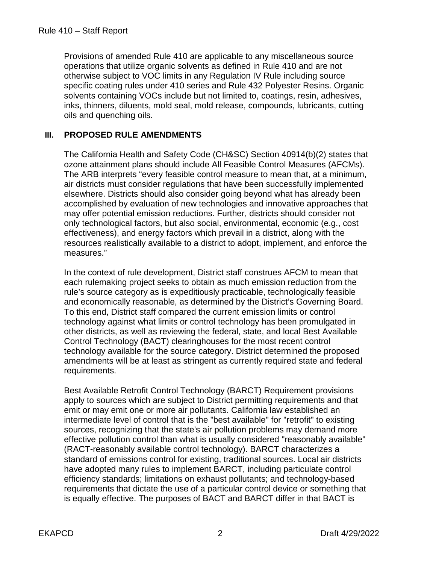Provisions of amended Rule 410 are applicable to any miscellaneous source operations that utilize organic solvents as defined in Rule 410 and are not otherwise subject to VOC limits in any Regulation IV Rule including source specific coating rules under 410 series and Rule 432 Polyester Resins. Organic solvents containing VOCs include but not limited to, coatings, resin, adhesives, inks, thinners, diluents, mold seal, mold release, compounds, lubricants, cutting oils and quenching oils.

#### **III. PROPOSED RULE AMENDMENTS**

The California Health and Safety Code (CH&SC) Section 40914(b)(2) states that ozone attainment plans should include All Feasible Control Measures (AFCMs). The ARB interprets "every feasible control measure to mean that, at a minimum, air districts must consider regulations that have been successfully implemented elsewhere. Districts should also consider going beyond what has already been accomplished by evaluation of new technologies and innovative approaches that may offer potential emission reductions. Further, districts should consider not only technological factors, but also social, environmental, economic (e.g., cost effectiveness), and energy factors which prevail in a district, along with the resources realistically available to a district to adopt, implement, and enforce the measures."

In the context of rule development, District staff construes AFCM to mean that each rulemaking project seeks to obtain as much emission reduction from the rule's source category as is expeditiously practicable, technologically feasible and economically reasonable, as determined by the District's Governing Board. To this end, District staff compared the current emission limits or control technology against what limits or control technology has been promulgated in other districts, as well as reviewing the federal, state, and local Best Available Control Technology (BACT) clearinghouses for the most recent control technology available for the source category. District determined the proposed amendments will be at least as stringent as currently required state and federal requirements.

Best Available Retrofit Control Technology (BARCT) Requirement provisions apply to sources which are subject to District permitting requirements and that emit or may emit one or more air pollutants. California law established an intermediate level of control that is the "best available" for "retrofit" to existing sources, recognizing that the state's air pollution problems may demand more effective pollution control than what is usually considered "reasonably available" (RACT-reasonably available control technology). BARCT characterizes a standard of emissions control for existing, traditional sources. Local air districts have adopted many rules to implement BARCT, including particulate control efficiency standards; limitations on exhaust pollutants; and technology-based requirements that dictate the use of a particular control device or something that is equally effective. The purposes of BACT and BARCT differ in that BACT is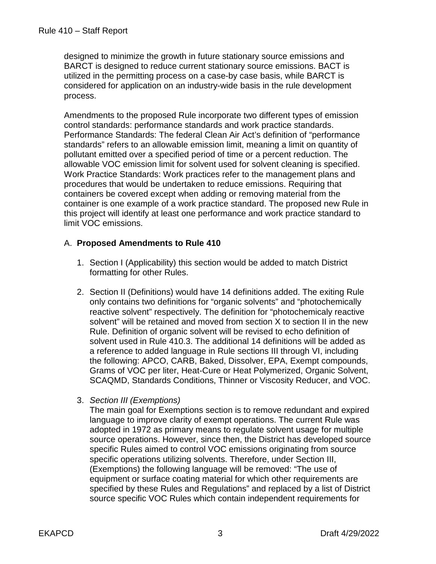designed to minimize the growth in future stationary source emissions and BARCT is designed to reduce current stationary source emissions. BACT is utilized in the permitting process on a case-by case basis, while BARCT is considered for application on an industry-wide basis in the rule development process.

Amendments to the proposed Rule incorporate two different types of emission control standards: performance standards and work practice standards. Performance Standards: The federal Clean Air Act's definition of "performance standards" refers to an allowable emission limit, meaning a limit on quantity of pollutant emitted over a specified period of time or a percent reduction. The allowable VOC emission limit for solvent used for solvent cleaning is specified. Work Practice Standards: Work practices refer to the management plans and procedures that would be undertaken to reduce emissions. Requiring that containers be covered except when adding or removing material from the container is one example of a work practice standard. The proposed new Rule in this project will identify at least one performance and work practice standard to limit VOC emissions.

#### A. **Proposed Amendments to Rule 410**

- 1. Section I (Applicability) this section would be added to match District formatting for other Rules.
- 2. Section II (Definitions) would have 14 definitions added. The exiting Rule only contains two definitions for "organic solvents" and "photochemically reactive solvent" respectively. The definition for "photochemicaly reactive solvent" will be retained and moved from section X to section II in the new Rule. Definition of organic solvent will be revised to echo definition of solvent used in Rule 410.3. The additional 14 definitions will be added as a reference to added language in Rule sections III through VI, including the following: APCO, CARB, Baked, Dissolver, EPA, Exempt compounds, Grams of VOC per liter, Heat-Cure or Heat Polymerized, Organic Solvent, SCAQMD, Standards Conditions, Thinner or Viscosity Reducer, and VOC.
- 3. *Section III (Exemptions)*

The main goal for Exemptions section is to remove redundant and expired language to improve clarity of exempt operations. The current Rule was adopted in 1972 as primary means to regulate solvent usage for multiple source operations. However, since then, the District has developed source specific Rules aimed to control VOC emissions originating from source specific operations utilizing solvents. Therefore, under Section III, (Exemptions) the following language will be removed: "The use of equipment or surface coating material for which other requirements are specified by these Rules and Regulations" and replaced by a list of District source specific VOC Rules which contain independent requirements for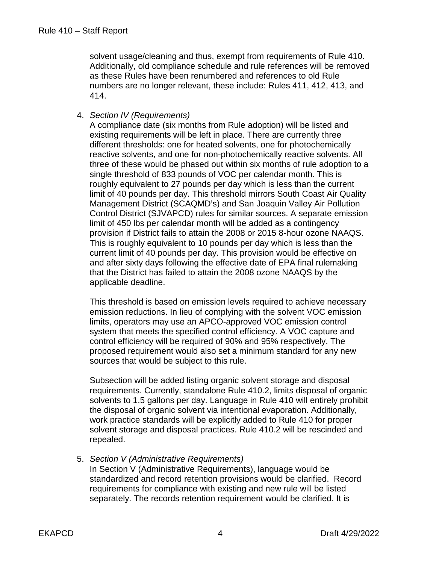solvent usage/cleaning and thus, exempt from requirements of Rule 410. Additionally, old compliance schedule and rule references will be removed as these Rules have been renumbered and references to old Rule numbers are no longer relevant, these include: Rules 411, 412, 413, and 414.

#### 4. *Section IV (Requirements)*

A compliance date (six months from Rule adoption) will be listed and existing requirements will be left in place. There are currently three different thresholds: one for heated solvents, one for photochemically reactive solvents, and one for non-photochemically reactive solvents. All three of these would be phased out within six months of rule adoption to a single threshold of 833 pounds of VOC per calendar month. This is roughly equivalent to 27 pounds per day which is less than the current limit of 40 pounds per day. This threshold mirrors South Coast Air Quality Management District (SCAQMD's) and San Joaquin Valley Air Pollution Control District (SJVAPCD) rules for similar sources. A separate emission limit of 450 lbs per calendar month will be added as a contingency provision if District fails to attain the 2008 or 2015 8-hour ozone NAAQS. This is roughly equivalent to 10 pounds per day which is less than the current limit of 40 pounds per day. This provision would be effective on and after sixty days following the effective date of EPA final rulemaking that the District has failed to attain the 2008 ozone NAAQS by the applicable deadline.

This threshold is based on emission levels required to achieve necessary emission reductions. In lieu of complying with the solvent VOC emission limits, operators may use an APCO-approved VOC emission control system that meets the specified control efficiency. A VOC capture and control efficiency will be required of 90% and 95% respectively. The proposed requirement would also set a minimum standard for any new sources that would be subject to this rule.

Subsection will be added listing organic solvent storage and disposal requirements. Currently, standalone Rule 410.2, limits disposal of organic solvents to 1.5 gallons per day. Language in Rule 410 will entirely prohibit the disposal of organic solvent via intentional evaporation. Additionally, work practice standards will be explicitly added to Rule 410 for proper solvent storage and disposal practices. Rule 410.2 will be rescinded and repealed.

#### 5. *Section V (Administrative Requirements)*

In Section V (Administrative Requirements), language would be standardized and record retention provisions would be clarified. Record requirements for compliance with existing and new rule will be listed separately. The records retention requirement would be clarified. It is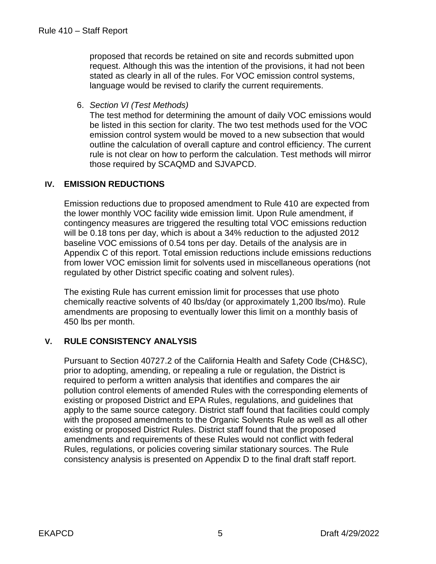proposed that records be retained on site and records submitted upon request. Although this was the intention of the provisions, it had not been stated as clearly in all of the rules. For VOC emission control systems, language would be revised to clarify the current requirements.

6. *Section VI (Test Methods)* 

The test method for determining the amount of daily VOC emissions would be listed in this section for clarity. The two test methods used for the VOC emission control system would be moved to a new subsection that would outline the calculation of overall capture and control efficiency. The current rule is not clear on how to perform the calculation. Test methods will mirror those required by SCAQMD and SJVAPCD.

#### **IV. EMISSION REDUCTIONS**

Emission reductions due to proposed amendment to Rule 410 are expected from the lower monthly VOC facility wide emission limit. Upon Rule amendment, if contingency measures are triggered the resulting total VOC emissions reduction will be 0.18 tons per day, which is about a 34% reduction to the adjusted 2012 baseline VOC emissions of 0.54 tons per day. Details of the analysis are in Appendix C of this report. Total emission reductions include emissions reductions from lower VOC emission limit for solvents used in miscellaneous operations (not regulated by other District specific coating and solvent rules).

The existing Rule has current emission limit for processes that use photo chemically reactive solvents of 40 lbs/day (or approximately 1,200 lbs/mo). Rule amendments are proposing to eventually lower this limit on a monthly basis of 450 lbs per month.

#### **V. RULE CONSISTENCY ANALYSIS**

Pursuant to Section 40727.2 of the California Health and Safety Code (CH&SC), prior to adopting, amending, or repealing a rule or regulation, the District is required to perform a written analysis that identifies and compares the air pollution control elements of amended Rules with the corresponding elements of existing or proposed District and EPA Rules, regulations, and guidelines that apply to the same source category. District staff found that facilities could comply with the proposed amendments to the Organic Solvents Rule as well as all other existing or proposed District Rules. District staff found that the proposed amendments and requirements of these Rules would not conflict with federal Rules, regulations, or policies covering similar stationary sources. The Rule consistency analysis is presented on Appendix D to the final draft staff report.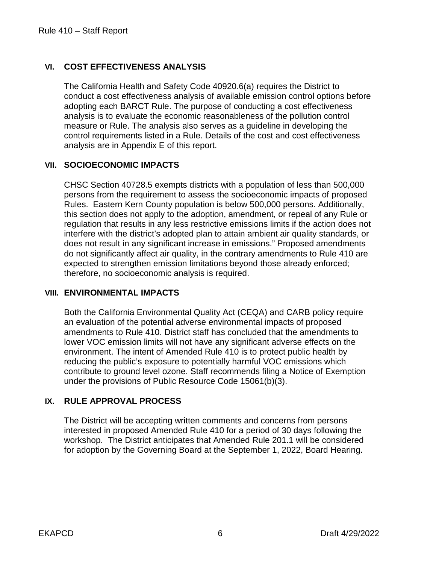#### **VI. COST EFFECTIVENESS ANALYSIS**

The California Health and Safety Code 40920.6(a) requires the District to conduct a cost effectiveness analysis of available emission control options before adopting each BARCT Rule. The purpose of conducting a cost effectiveness analysis is to evaluate the economic reasonableness of the pollution control measure or Rule. The analysis also serves as a guideline in developing the control requirements listed in a Rule. Details of the cost and cost effectiveness analysis are in Appendix E of this report.

#### **VII. SOCIOECONOMIC IMPACTS**

CHSC Section 40728.5 exempts districts with a population of less than 500,000 persons from the requirement to assess the socioeconomic impacts of proposed Rules. Eastern Kern County population is below 500,000 persons. Additionally, this section does not apply to the adoption, amendment, or repeal of any Rule or regulation that results in any less restrictive emissions limits if the action does not interfere with the district's adopted plan to attain ambient air quality standards, or does not result in any significant increase in emissions." Proposed amendments do not significantly affect air quality, in the contrary amendments to Rule 410 are expected to strengthen emission limitations beyond those already enforced; therefore, no socioeconomic analysis is required.

#### **VIII. ENVIRONMENTAL IMPACTS**

Both the California Environmental Quality Act (CEQA) and CARB policy require an evaluation of the potential adverse environmental impacts of proposed amendments to Rule 410. District staff has concluded that the amendments to lower VOC emission limits will not have any significant adverse effects on the environment. The intent of Amended Rule 410 is to protect public health by reducing the public's exposure to potentially harmful VOC emissions which contribute to ground level ozone. Staff recommends filing a Notice of Exemption under the provisions of Public Resource Code 15061(b)(3).

#### **IX. RULE APPROVAL PROCESS**

The District will be accepting written comments and concerns from persons interested in proposed Amended Rule 410 for a period of 30 days following the workshop. The District anticipates that Amended Rule 201.1 will be considered for adoption by the Governing Board at the September 1, 2022, Board Hearing.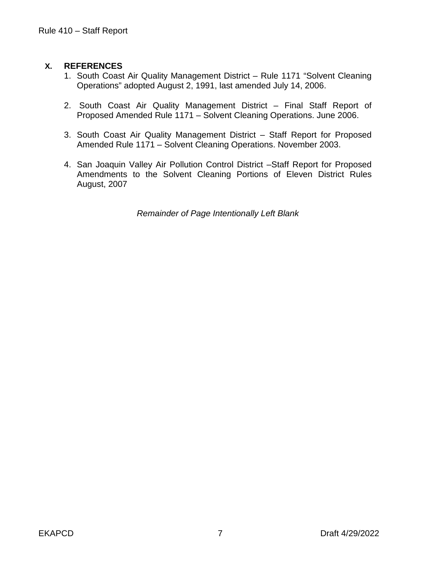#### **X. REFERENCES**

- 1. South Coast Air Quality Management District Rule 1171 "Solvent Cleaning Operations" adopted August 2, 1991, last amended July 14, 2006.
- 2. South Coast Air Quality Management District Final Staff Report of Proposed Amended Rule 1171 – Solvent Cleaning Operations. June 2006.
- 3. South Coast Air Quality Management District Staff Report for Proposed Amended Rule 1171 – Solvent Cleaning Operations. November 2003.
- 4. San Joaquin Valley Air Pollution Control District –Staff Report for Proposed Amendments to the Solvent Cleaning Portions of Eleven District Rules August, 2007

*Remainder of Page Intentionally Left Blank*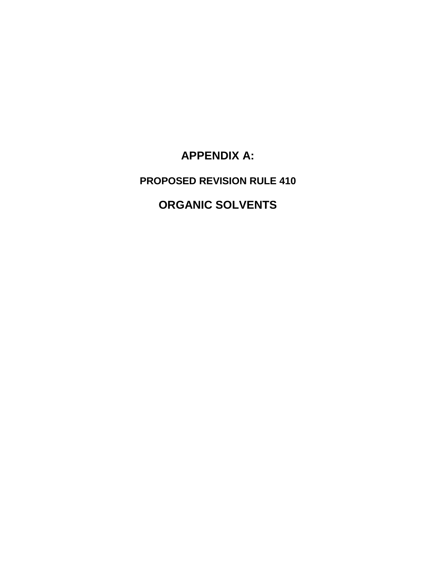**APPENDIX A:**

**PROPOSED REVISION RULE 410**

## **ORGANIC SOLVENTS**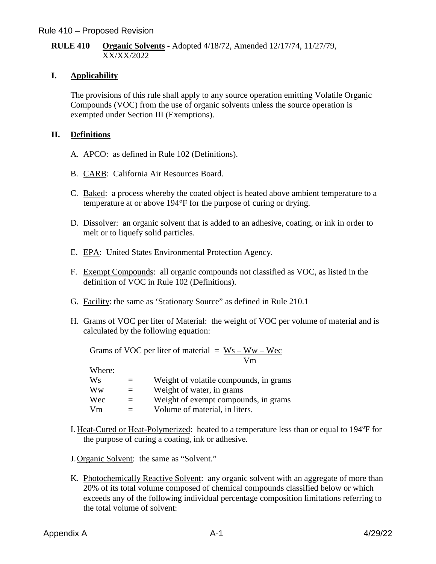#### **RULE 410 Organic Solvents** - Adopted 4/18/72, Amended 12/17/74, 11/27/79, XX/XX/2022

#### **I. Applicability**

The provisions of this rule shall apply to any source operation emitting Volatile Organic Compounds (VOC) from the use of organic solvents unless the source operation is exempted under Section III (Exemptions).

#### **II. Definitions**

- A. APCO: as defined in Rule 102 (Definitions).
- B. CARB: California Air Resources Board.
- C. Baked: a process whereby the coated object is heated above ambient temperature to a temperature at or above 194°F for the purpose of curing or drying.
- D. Dissolver: an organic solvent that is added to an adhesive, coating, or ink in order to melt or to liquefy solid particles.
- E. EPA: United States Environmental Protection Agency.
- F. Exempt Compounds: all organic compounds not classified as VOC, as listed in the definition of VOC in Rule 102 (Definitions).
- G. Facility: the same as 'Stationary Source" as defined in Rule 210.1
- H. Grams of VOC per liter of Material: the weight of VOC per volume of material and is calculated by the following equation:

| Grams of VOC per liter of material = $Ws - Ww - Wec$ |    |
|------------------------------------------------------|----|
|                                                      | Vm |
| W <sub>hor</sub>                                     |    |

| $V$ licic. |     |                                        |
|------------|-----|----------------------------------------|
| Ws         |     | Weight of volatile compounds, in grams |
| Ww         |     | Weight of water, in grams              |
| Wec        | $=$ | Weight of exempt compounds, in grams   |
| Vm         |     | Volume of material, in liters.         |

I. Heat-Cured or Heat-Polymerized: heated to a temperature less than or equal to 194°F for the purpose of curing a coating, ink or adhesive.

J.Organic Solvent: the same as "Solvent."

K. Photochemically Reactive Solvent: any organic solvent with an aggregate of more than 20% of its total volume composed of chemical compounds classified below or which exceeds any of the following individual percentage composition limitations referring to the total volume of solvent: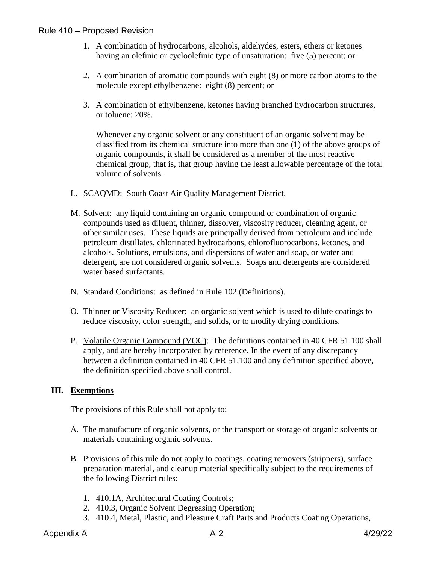- 1. A combination of hydrocarbons, alcohols, aldehydes, esters, ethers or ketones having an olefinic or cycloolefinic type of unsaturation: five (5) percent; or
- 2. A combination of aromatic compounds with eight (8) or more carbon atoms to the molecule except ethylbenzene: eight (8) percent; or
- 3. A combination of ethylbenzene, ketones having branched hydrocarbon structures, or toluene: 20%.

Whenever any organic solvent or any constituent of an organic solvent may be classified from its chemical structure into more than one (1) of the above groups of organic compounds, it shall be considered as a member of the most reactive chemical group, that is, that group having the least allowable percentage of the total volume of solvents.

- L. SCAQMD: South Coast Air Quality Management District.
- M. Solvent: any liquid containing an organic compound or combination of organic compounds used as diluent, thinner, dissolver, viscosity reducer, cleaning agent, or other similar uses. These liquids are principally derived from petroleum and include petroleum distillates, chlorinated hydrocarbons, chlorofluorocarbons, ketones, and alcohols. Solutions, emulsions, and dispersions of water and soap, or water and detergent, are not considered organic solvents. Soaps and detergents are considered water based surfactants.
- N. Standard Conditions: as defined in Rule 102 (Definitions).
- O. Thinner or Viscosity Reducer: an organic solvent which is used to dilute coatings to reduce viscosity, color strength, and solids, or to modify drying conditions.
- P. Volatile Organic Compound (VOC): The definitions contained in 40 CFR 51.100 shall apply, and are hereby incorporated by reference. In the event of any discrepancy between a definition contained in 40 CFR 51.100 and any definition specified above, the definition specified above shall control.

#### **III. Exemptions**

The provisions of this Rule shall not apply to:

- A. The manufacture of organic solvents, or the transport or storage of organic solvents or materials containing organic solvents.
- B. Provisions of this rule do not apply to coatings, coating removers (strippers), surface preparation material, and cleanup material specifically subject to the requirements of the following District rules:
	- 1. 410.1A, Architectural Coating Controls;
	- 2. 410.3, Organic Solvent Degreasing Operation;
	- 3. 410.4, Metal, Plastic, and Pleasure Craft Parts and Products Coating Operations,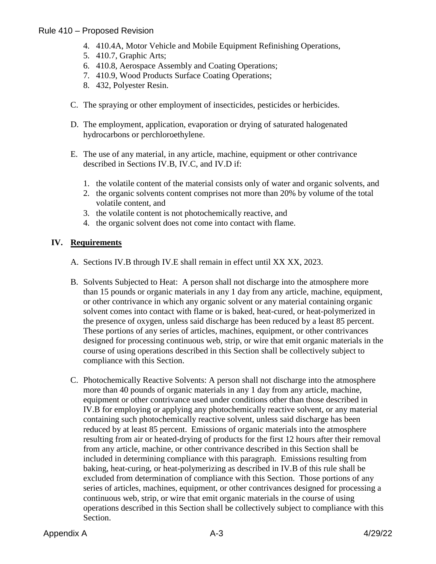- 4. 410.4A, Motor Vehicle and Mobile Equipment Refinishing Operations,
- 5. 410.7, Graphic Arts;
- 6. 410.8, Aerospace Assembly and Coating Operations;
- 7. 410.9, Wood Products Surface Coating Operations;
- 8. 432, Polyester Resin.
- C. The spraying or other employment of insecticides, pesticides or herbicides.
- D. The employment, application, evaporation or drying of saturated halogenated hydrocarbons or perchloroethylene.
- E. The use of any material, in any article, machine, equipment or other contrivance described in Sections IV.B, IV.C, and IV.D if:
	- 1. the volatile content of the material consists only of water and organic solvents, and
	- 2. the organic solvents content comprises not more than 20% by volume of the total volatile content, and
	- 3. the volatile content is not photochemically reactive, and
	- 4. the organic solvent does not come into contact with flame.

#### **IV. Requirements**

- A. Sections IV.B through IV.E shall remain in effect until XX XX, 2023.
- B. Solvents Subjected to Heat: A person shall not discharge into the atmosphere more than 15 pounds or organic materials in any 1 day from any article, machine, equipment, or other contrivance in which any organic solvent or any material containing organic solvent comes into contact with flame or is baked, heat-cured, or heat-polymerized in the presence of oxygen, unless said discharge has been reduced by a least 85 percent. These portions of any series of articles, machines, equipment, or other contrivances designed for processing continuous web, strip, or wire that emit organic materials in the course of using operations described in this Section shall be collectively subject to compliance with this Section.
- C. Photochemically Reactive Solvents: A person shall not discharge into the atmosphere more than 40 pounds of organic materials in any 1 day from any article, machine, equipment or other contrivance used under conditions other than those described in IV.B for employing or applying any photochemically reactive solvent, or any material containing such photochemically reactive solvent, unless said discharge has been reduced by at least 85 percent. Emissions of organic materials into the atmosphere resulting from air or heated-drying of products for the first 12 hours after their removal from any article, machine, or other contrivance described in this Section shall be included in determining compliance with this paragraph. Emissions resulting from baking, heat-curing, or heat-polymerizing as described in IV.B of this rule shall be excluded from determination of compliance with this Section. Those portions of any series of articles, machines, equipment, or other contrivances designed for processing a continuous web, strip, or wire that emit organic materials in the course of using operations described in this Section shall be collectively subject to compliance with this Section.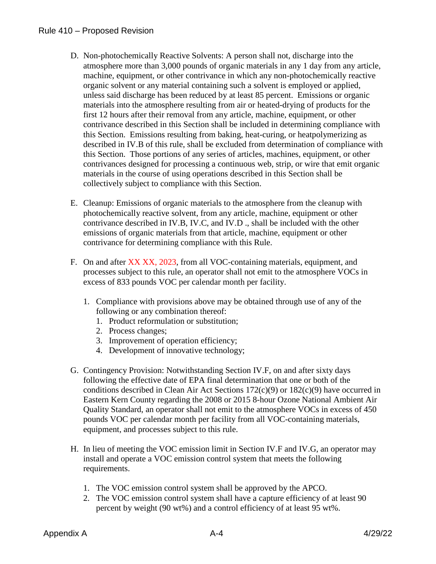- D. Non-photochemically Reactive Solvents: A person shall not, discharge into the atmosphere more than 3,000 pounds of organic materials in any 1 day from any article, machine, equipment, or other contrivance in which any non-photochemically reactive organic solvent or any material containing such a solvent is employed or applied, unless said discharge has been reduced by at least 85 percent. Emissions or organic materials into the atmosphere resulting from air or heated-drying of products for the first 12 hours after their removal from any article, machine, equipment, or other contrivance described in this Section shall be included in determining compliance with this Section. Emissions resulting from baking, heat-curing, or heatpolymerizing as described in IV.B of this rule, shall be excluded from determination of compliance with this Section. Those portions of any series of articles, machines, equipment, or other contrivances designed for processing a continuous web, strip, or wire that emit organic materials in the course of using operations described in this Section shall be collectively subject to compliance with this Section.
- E. Cleanup: Emissions of organic materials to the atmosphere from the cleanup with photochemically reactive solvent, from any article, machine, equipment or other contrivance described in IV.B, IV.C, and IV.D ., shall be included with the other emissions of organic materials from that article, machine, equipment or other contrivance for determining compliance with this Rule.
- F. On and after XX XX, 2023, from all VOC-containing materials, equipment, and processes subject to this rule, an operator shall not emit to the atmosphere VOCs in excess of 833 pounds VOC per calendar month per facility.
	- 1. Compliance with provisions above may be obtained through use of any of the following or any combination thereof:
		- 1. Product reformulation or substitution;
		- 2. Process changes;
		- 3. Improvement of operation efficiency;
		- 4. Development of innovative technology;
- G. Contingency Provision: Notwithstanding Section IV.F, on and after sixty days following the effective date of EPA final determination that one or both of the conditions described in Clean Air Act Sections 172(c)(9) or 182(c)(9) have occurred in Eastern Kern County regarding the 2008 or 2015 8-hour Ozone National Ambient Air Quality Standard, an operator shall not emit to the atmosphere VOCs in excess of 450 pounds VOC per calendar month per facility from all VOC-containing materials, equipment, and processes subject to this rule.
- H. In lieu of meeting the VOC emission limit in Section IV.F and IV.G, an operator may install and operate a VOC emission control system that meets the following requirements.
	- 1. The VOC emission control system shall be approved by the APCO.
	- 2. The VOC emission control system shall have a capture efficiency of at least 90 percent by weight (90 wt%) and a control efficiency of at least 95 wt%.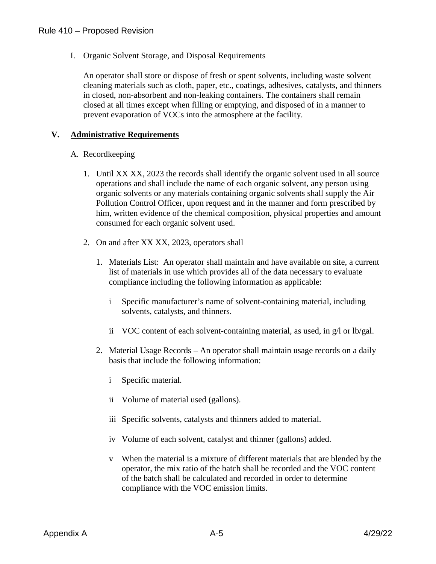I. Organic Solvent Storage, and Disposal Requirements

An operator shall store or dispose of fresh or spent solvents, including waste solvent cleaning materials such as cloth, paper, etc., coatings, adhesives, catalysts, and thinners in closed, non-absorbent and non-leaking containers. The containers shall remain closed at all times except when filling or emptying, and disposed of in a manner to prevent evaporation of VOCs into the atmosphere at the facility.

#### **V. Administrative Requirements**

#### A. Recordkeeping

- 1. Until XX XX, 2023 the records shall identify the organic solvent used in all source operations and shall include the name of each organic solvent, any person using organic solvents or any materials containing organic solvents shall supply the Air Pollution Control Officer, upon request and in the manner and form prescribed by him, written evidence of the chemical composition, physical properties and amount consumed for each organic solvent used.
- 2. On and after XX XX, 2023, operators shall
	- 1. Materials List: An operator shall maintain and have available on site, a current list of materials in use which provides all of the data necessary to evaluate compliance including the following information as applicable:
		- i Specific manufacturer's name of solvent-containing material, including solvents, catalysts, and thinners.
		- ii VOC content of each solvent-containing material, as used, in g/l or lb/gal.
	- 2. Material Usage Records An operator shall maintain usage records on a daily basis that include the following information:
		- i Specific material.
		- ii Volume of material used (gallons).
		- iii Specific solvents, catalysts and thinners added to material.
		- iv Volume of each solvent, catalyst and thinner (gallons) added.
		- v When the material is a mixture of different materials that are blended by the operator, the mix ratio of the batch shall be recorded and the VOC content of the batch shall be calculated and recorded in order to determine compliance with the VOC emission limits.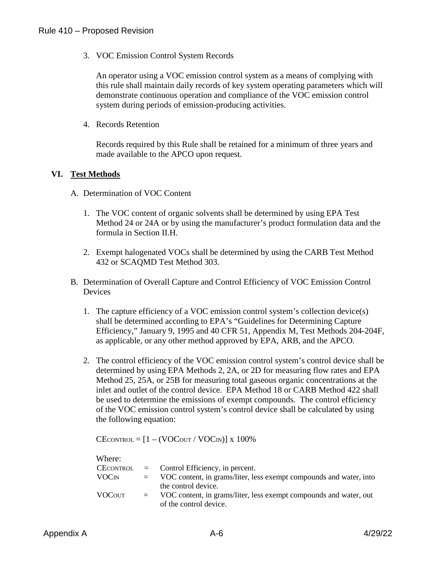3. VOC Emission Control System Records

An operator using a VOC emission control system as a means of complying with this rule shall maintain daily records of key system operating parameters which will demonstrate continuous operation and compliance of the VOC emission control system during periods of emission-producing activities.

4. Records Retention

Records required by this Rule shall be retained for a minimum of three years and made available to the APCO upon request.

#### **VI. Test Methods**

- A. Determination of VOC Content
	- 1. The VOC content of organic solvents shall be determined by using EPA Test Method 24 or 24A or by using the manufacturer's product formulation data and the formula in Section II.H.
	- 2. Exempt halogenated VOCs shall be determined by using the CARB Test Method 432 or SCAQMD Test Method 303.
- B. Determination of Overall Capture and Control Efficiency of VOC Emission Control **Devices** 
	- 1. The capture efficiency of a VOC emission control system's collection device(s) shall be determined according to EPA's "Guidelines for Determining Capture Efficiency," January 9, 1995 and 40 CFR 51, Appendix M, Test Methods 204-204F, as applicable, or any other method approved by EPA, ARB, and the APCO.
	- 2. The control efficiency of the VOC emission control system's control device shall be determined by using EPA Methods 2, 2A, or 2D for measuring flow rates and EPA Method 25, 25A, or 25B for measuring total gaseous organic concentrations at the inlet and outlet of the control device. EPA Method 18 or CARB Method 422 shall be used to determine the emissions of exempt compounds. The control efficiency of the VOC emission control system's control device shall be calculated by using the following equation:

 $CE$ CONTROL =  $[1 - (VOC_{OUT} / VOC_{IN})]$  x 100%

| Where:                   |     |                                                                    |
|--------------------------|-----|--------------------------------------------------------------------|
| CECONTROL                |     | $=$ Control Efficiency, in percent.                                |
| <b>VOC</b> <sub>IN</sub> |     | VOC content, in grams/liter, less exempt compounds and water, into |
|                          |     | the control device.                                                |
| <b>VOCOUT</b>            | $=$ | VOC content, in grams/liter, less exempt compounds and water, out  |
|                          |     | of the control device.                                             |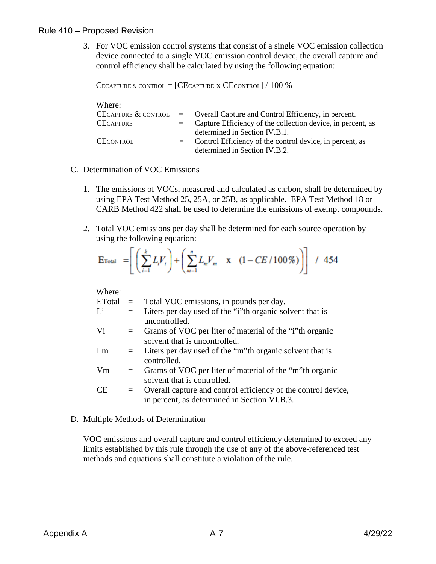3. For VOC emission control systems that consist of a single VOC emission collection device connected to a single VOC emission control device, the overall capture and control efficiency shall be calculated by using the following equation:

```
CECAPTURE & CONTROL = [CECATIVE X CECONTROL] / 100 %
```

| Where:              |                                                                 |
|---------------------|-----------------------------------------------------------------|
| CECAPTURE & CONTROL | = Overall Capture and Control Efficiency, in percent.           |
| <b>CECAPTURE</b>    | $=$ Capture Efficiency of the collection device, in percent, as |
|                     | determined in Section IV.B.1.                                   |
| <b>CECONTROL</b>    | $=$ Control Efficiency of the control device, in percent, as    |
|                     | determined in Section IV.B.2.                                   |

- C. Determination of VOC Emissions
	- 1. The emissions of VOCs, measured and calculated as carbon, shall be determined by using EPA Test Method 25, 25A, or 25B, as applicable. EPA Test Method 18 or CARB Method 422 shall be used to determine the emissions of exempt compounds.
	- 2. Total VOC emissions per day shall be determined for each source operation by using the following equation:

$$
\text{E}_{\text{Total}} = \left[ \left( \sum_{i=1}^{k} L_i V_i \right) + \left( \sum_{m=1}^{n} L_m V_m \quad \text{x} \quad (1 - CE / 100 \%) \right) \right] / 454
$$

Where:

|     | $=$ Total VOC emissions, in pounds per day.                   |
|-----|---------------------------------------------------------------|
| $=$ | Liters per day used of the "i"th organic solvent that is      |
|     | uncontrolled.                                                 |
| $=$ | Grams of VOC per liter of material of the "i"th organic       |
|     | solvent that is uncontrolled.                                 |
|     | $=$ Liters per day used of the "m" th organic solvent that is |
|     | controlled.                                                   |
| $=$ | Grams of VOC per liter of material of the "m"th organic       |
|     | solvent that is controlled.                                   |
| $=$ | Overall capture and control efficiency of the control device, |
|     | in percent, as determined in Section VI.B.3.                  |
|     |                                                               |

D. Multiple Methods of Determination

VOC emissions and overall capture and control efficiency determined to exceed any limits established by this rule through the use of any of the above-referenced test methods and equations shall constitute a violation of the rule.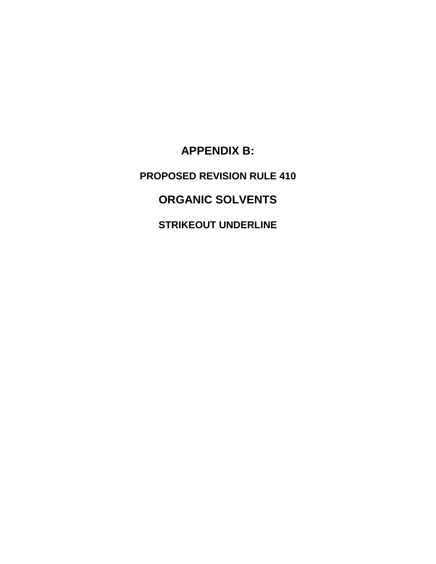**APPENDIX B: PROPOSED REVISION RULE 410 ORGANIC SOLVENTS STRIKEOUT UNDERLINE**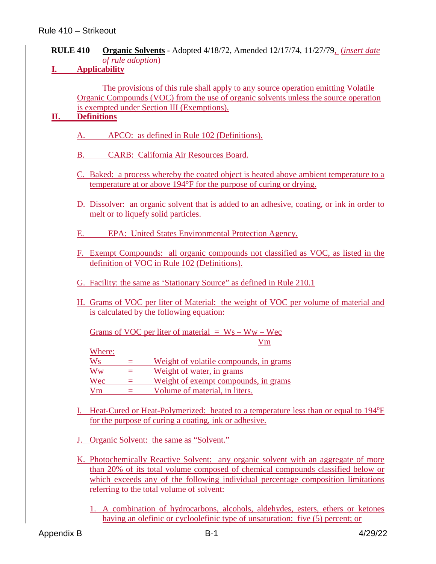#### **RULE 410 Organic Solvents** - Adopted 4/18/72, Amended 12/17/74, 11/27/79, (*insert date of rule adoption*)

**I. Applicability**

The provisions of this rule shall apply to any source operation emitting Volatile Organic Compounds (VOC) from the use of organic solvents unless the source operation is exempted under Section III (Exemptions).

#### **II. Definitions**

- A. APCO: as defined in Rule 102 (Definitions).
- B. CARB: California Air Resources Board.
- C. Baked: a process whereby the coated object is heated above ambient temperature to a temperature at or above 194°F for the purpose of curing or drying.
- D. Dissolver: an organic solvent that is added to an adhesive, coating, or ink in order to melt or to liquefy solid particles.
- E. EPA: United States Environmental Protection Agency.
- F. Exempt Compounds: all organic compounds not classified as VOC, as listed in the definition of VOC in Rule 102 (Definitions).
- G. Facility: the same as 'Stationary Source" as defined in Rule 210.1
- H. Grams of VOC per liter of Material: the weight of VOC per volume of material and is calculated by the following equation:

Grams of VOC per liter of material  $=$  Ws – Ww – Wec Vm

Where:

 $W_s$  = Weight of volatile compounds, in grams  $Ww =$  Weight of water, in grams  $Wec = Weight of the example compounds, in grams$ Vm = Volume of material, in liters.

- I. Heat-Cured or Heat-Polymerized: heated to a temperature less than or equal to 194°F for the purpose of curing a coating, ink or adhesive.
- J. Organic Solvent: the same as "Solvent."
- K. Photochemically Reactive Solvent: any organic solvent with an aggregate of more than 20% of its total volume composed of chemical compounds classified below or which exceeds any of the following individual percentage composition limitations referring to the total volume of solvent:

1. A combination of hydrocarbons, alcohols, aldehydes, esters, ethers or ketones having an olefinic or cycloolefinic type of unsaturation: five (5) percent; or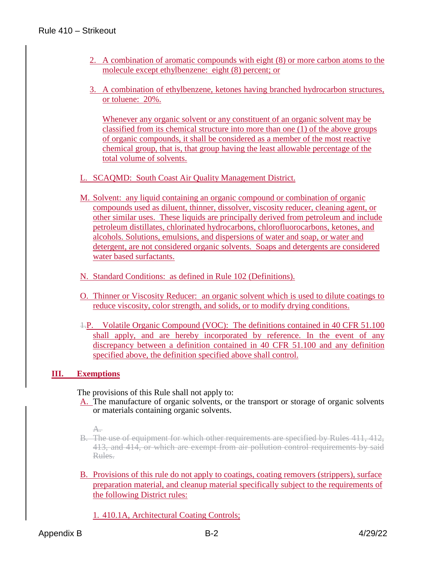- 2. A combination of aromatic compounds with eight (8) or more carbon atoms to the molecule except ethylbenzene: eight (8) percent; or
- 3. A combination of ethylbenzene, ketones having branched hydrocarbon structures, or toluene: 20%.

Whenever any organic solvent or any constituent of an organic solvent may be classified from its chemical structure into more than one (1) of the above groups of organic compounds, it shall be considered as a member of the most reactive chemical group, that is, that group having the least allowable percentage of the total volume of solvents.

- L. SCAQMD: South Coast Air Quality Management District.
- M. Solvent: any liquid containing an organic compound or combination of organic compounds used as diluent, thinner, dissolver, viscosity reducer, cleaning agent, or other similar uses. These liquids are principally derived from petroleum and include petroleum distillates, chlorinated hydrocarbons, chlorofluorocarbons, ketones, and alcohols. Solutions, emulsions, and dispersions of water and soap, or water and detergent, are not considered organic solvents. Soaps and detergents are considered water based surfactants.
- N. Standard Conditions: as defined in Rule 102 (Definitions).
- O. Thinner or Viscosity Reducer: an organic solvent which is used to dilute coatings to reduce viscosity, color strength, and solids, or to modify drying conditions.
- 1.P. Volatile Organic Compound (VOC): The definitions contained in 40 CFR 51.100 shall apply, and are hereby incorporated by reference. In the event of any discrepancy between a definition contained in 40 CFR 51.100 and any definition specified above, the definition specified above shall control.

#### **III. Exemptions**

The provisions of this Rule shall not apply to:

A. The manufacture of organic solvents, or the transport or storage of organic solvents or materials containing organic solvents.

- B. The use of equipment for which other requirements are specified by Rules 411, 412, 413, and 414, or which are exempt from air pollution control requirements by said Rules.
- B. Provisions of this rule do not apply to coatings, coating removers (strippers), surface preparation material, and cleanup material specifically subject to the requirements of the following District rules:
	- 1. 410.1A, Architectural Coating Controls;

A.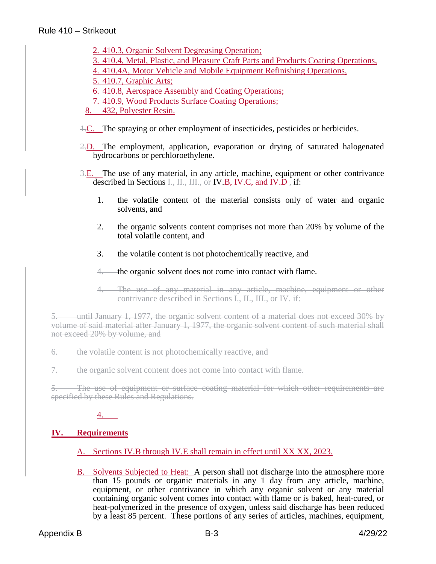- 2. 410.3, Organic Solvent Degreasing Operation;
- 3. 410.4, Metal, Plastic, and Pleasure Craft Parts and Products Coating Operations,
- 4. 410.4A, Motor Vehicle and Mobile Equipment Refinishing Operations,
- 5. 410.7, Graphic Arts;
- 6. 410.8, Aerospace Assembly and Coating Operations;
- 7. 410.9, Wood Products Surface Coating Operations;
- 8. 432, Polyester Resin.
- 1.C. The spraying or other employment of insecticides, pesticides or herbicides.
- 2.D. The employment, application, evaporation or drying of saturated halogenated hydrocarbons or perchloroethylene.
- 3.E. The use of any material, in any article, machine, equipment or other contrivance described in Sections  $\overline{I_1, II_2, II_3}$  or IV.B, IV.C, and IV.D  $\overline{I_1}$  if:
	- 1. the volatile content of the material consists only of water and organic solvents, and
	- 2. the organic solvents content comprises not more than 20% by volume of the total volatile content, and
	- 3. the volatile content is not photochemically reactive, and
	- 4. the organic solvent does not come into contact with flame.
	- 4. The use of any material in any article, machine, equipment or other contrivance described in Sections I., II., III., or IV. if:

5. until January 1, 1977, the organic solvent content of a material does not exceed 30% by volume of said material after January 1, 1977, the organic solvent content of such material shall not exceed 20% by volume, and

6. the volatile content is not photochemically reactive, and

7. the organic solvent content does not come into contact with flame.

5. The use of equipment or surface coating material for which other requirements are specified by these Rules and Regulations.

#### 4.

#### **IV. Requirements**

A. Sections IV.B through IV.E shall remain in effect until XX XX, 2023.

B. Solvents Subjected to Heat: A person shall not discharge into the atmosphere more than 15 pounds or organic materials in any 1 day from any article, machine, equipment, or other contrivance in which any organic solvent or any material containing organic solvent comes into contact with flame or is baked, heat-cured, or heat-polymerized in the presence of oxygen, unless said discharge has been reduced by a least 85 percent. These portions of any series of articles, machines, equipment,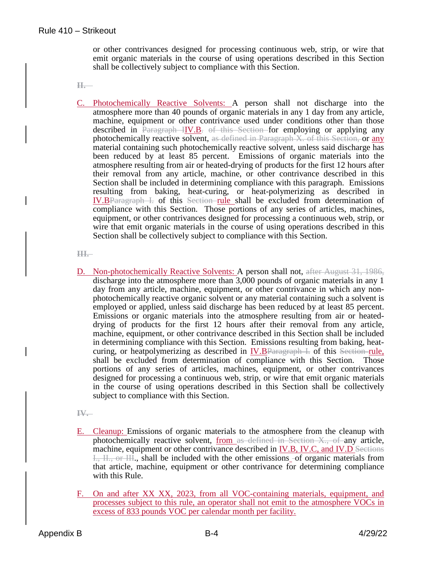or other contrivances designed for processing continuous web, strip, or wire that emit organic materials in the course of using operations described in this Section shall be collectively subject to compliance with this Section.

**II.**

C. Photochemically Reactive Solvents: A person shall not discharge into the atmosphere more than 40 pounds of organic materials in any 1 day from any article, machine, equipment or other contrivance used under conditions other than those described in Paragraph IIV.B. of this Section for employing or applying any photochemically reactive solvent, as defined in Paragraph X. of this Section, or any material containing such photochemically reactive solvent, unless said discharge has been reduced by at least 85 percent. Emissions of organic materials into the atmosphere resulting from air or heated-drying of products for the first 12 hours after their removal from any article, machine, or other contrivance described in this Section shall be included in determining compliance with this paragraph. Emissions resulting from baking, heat-curing, or heat-polymerizing as described in IV.BParagraph I. of this Section rule shall be excluded from determination of compliance with this Section. Those portions of any series of articles, machines, equipment, or other contrivances designed for processing a continuous web, strip, or wire that emit organic materials in the course of using operations described in this Section shall be collectively subject to compliance with this Section.

**III.**

D. Non-photochemically Reactive Solvents: A person shall not, after August 31, 1986, discharge into the atmosphere more than 3,000 pounds of organic materials in any 1 day from any article, machine, equipment, or other contrivance in which any nonphotochemically reactive organic solvent or any material containing such a solvent is employed or applied, unless said discharge has been reduced by at least 85 percent. Emissions or organic materials into the atmosphere resulting from air or heateddrying of products for the first 12 hours after their removal from any article, machine, equipment, or other contrivance described in this Section shall be included in determining compliance with this Section. Emissions resulting from baking, heatcuring, or heatpolymerizing as described in IV.BParagraph I. of this Section-rule, shall be excluded from determination of compliance with this Section. Those portions of any series of articles, machines, equipment, or other contrivances designed for processing a continuous web, strip, or wire that emit organic materials in the course of using operations described in this Section shall be collectively subject to compliance with this Section.

**IV.**

- E. Cleanup: Emissions of organic materials to the atmosphere from the cleanup with photochemically reactive solvent, from as defined in Section  $X_{\cdot}$ , of any article, machine, equipment or other contrivance described in IV.B, IV.C, and IV.D Sections I., II., or III., shall be included with the other emissions -of organic materials from that article, machine, equipment or other contrivance for determining compliance with this Rule.
- F. On and after XX XX, 2023, from all VOC-containing materials, equipment, and processes subject to this rule, an operator shall not emit to the atmosphere VOCs in excess of 833 pounds VOC per calendar month per facility.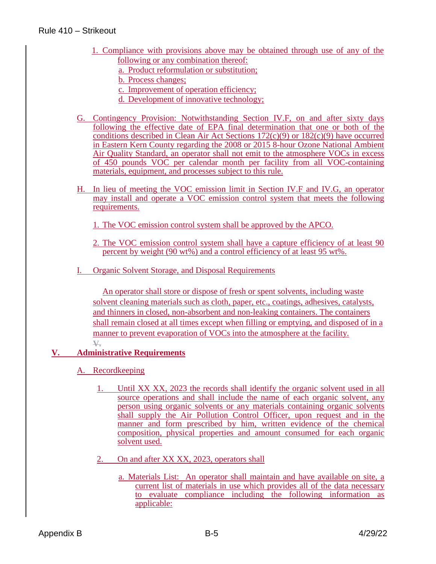#### Rule 410 – Strikeout

- 1. Compliance with provisions above may be obtained through use of any of the following or any combination thereof:
	- a. Product reformulation or substitution;
	- b. Process changes;
	- c. Improvement of operation efficiency;
	- d. Development of innovative technology;
- G. Contingency Provision: Notwithstanding Section IV.F, on and after sixty days following the effective date of EPA final determination that one or both of the conditions described in Clean Air Act Sections 172(c)(9) or 182(c)(9) have occurred in Eastern Kern County regarding the 2008 or 2015 8-hour Ozone National Ambient Air Quality Standard, an operator shall not emit to the atmosphere VOCs in excess of 450 pounds VOC per calendar month per facility from all VOC-containing materials, equipment, and processes subject to this rule.
- H. In lieu of meeting the VOC emission limit in Section IV.F and IV.G, an operator may install and operate a VOC emission control system that meets the following requirements.

1. The VOC emission control system shall be approved by the APCO.

- 2. The VOC emission control system shall have a capture efficiency of at least 90 percent by weight (90 wt%) and a control efficiency of at least 95 wt%.
- I. Organic Solvent Storage, and Disposal Requirements

An operator shall store or dispose of fresh or spent solvents, including waste solvent cleaning materials such as cloth, paper, etc., coatings, adhesives, catalysts, and thinners in closed, non-absorbent and non-leaking containers. The containers shall remain closed at all times except when filling or emptying, and disposed of in a manner to prevent evaporation of VOCs into the atmosphere at the facility. **V.**

#### **V. Administrative Requirements**

- A. Recordkeeping
	- 1. Until XX XX, 2023 the records shall identify the organic solvent used in all source operations and shall include the name of each organic solvent, any person using organic solvents or any materials containing organic solvents shall supply the Air Pollution Control Officer, upon request and in the manner and form prescribed by him, written evidence of the chemical composition, physical properties and amount consumed for each organic solvent used.
	- 2. On and after XX XX, 2023, operators shall
		- a. Materials List: An operator shall maintain and have available on site, a current list of materials in use which provides all of the data necessary to evaluate compliance including the following information as applicable: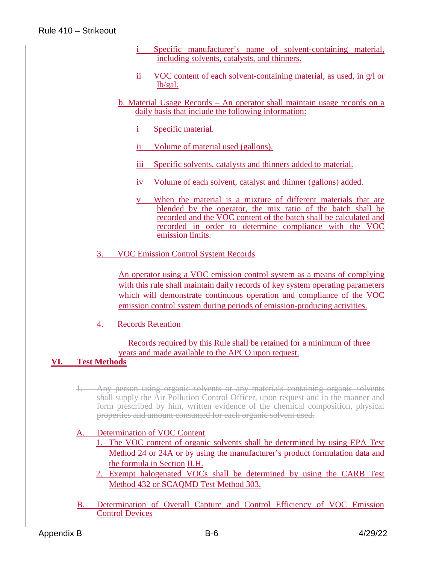- i Specific manufacturer's name of solvent-containing material, including solvents, catalysts, and thinners.
- ii VOC content of each solvent-containing material, as used, in g/l or lb/gal.
- b. Material Usage Records An operator shall maintain usage records on a daily basis that include the following information:

i Specific material.

- ii Volume of material used (gallons).
- iii Specific solvents, catalysts and thinners added to material.
- iv Volume of each solvent, catalyst and thinner (gallons) added.
- v When the material is a mixture of different materials that are blended by the operator, the mix ratio of the batch shall be recorded and the VOC content of the batch shall be calculated and recorded in order to determine compliance with the VOC emission limits.
- 3. VOC Emission Control System Records

An operator using a VOC emission control system as a means of complying with this rule shall maintain daily records of key system operating parameters which will demonstrate continuous operation and compliance of the VOC emission control system during periods of emission-producing activities.

4. Records Retention

#### Records required by this Rule shall be retained for a minimum of three years and made available to the APCO upon request.

#### **VI. Test Methods**

1. Any person using organic solvents or any materials containing organic solvents shall supply the Air Pollution Control Officer, upon request and in the manner and form prescribed by him, written evidence of the chemical composition, physical properties and amount consumed for each organic solvent used.

#### A. Determination of VOC Content

- 1. The VOC content of organic solvents shall be determined by using EPA Test Method 24 or 24A or by using the manufacturer's product formulation data and the formula in Section II.H.
- 2. Exempt halogenated VOCs shall be determined by using the CARB Test Method 432 or SCAQMD Test Method 303.
- B. Determination of Overall Capture and Control Efficiency of VOC Emission Control Devices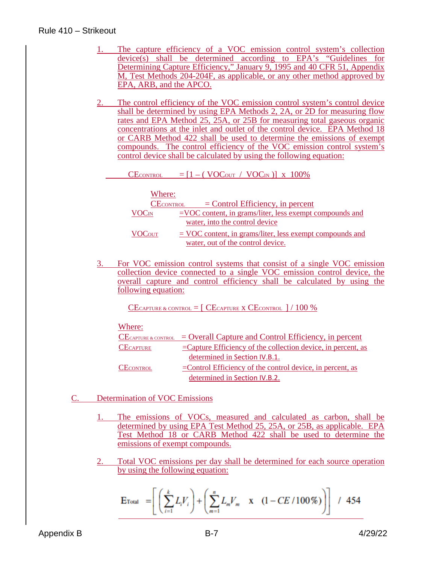#### Rule 410 – Strikeout

- 1. The capture efficiency of a VOC emission control system's collection  $device(s)$  shall be determined according to EPA's "Guidelines for Determining Capture Efficiency," January 9, 1995 and 40 CFR 51, Appendix M, Test Methods 204-204F, as applicable, or any other method approved by EPA, ARB, and the APCO.
- 2. The control efficiency of the VOC emission control system's control device shall be determined by using EPA Methods 2, 2A, or 2D for measuring flow rates and EPA Method 25, 25A, or 25B for measuring total gaseous organic concentrations at the inlet and outlet of the control device. EPA Method 18 or CARB Method 422 shall be used to determine the emissions of exempt compounds. The control efficiency of the VOC emission control system's control device shall be calculated by using the following equation:

CECONTROL  $=[1 - (VOC<sub>OUT</sub> / VOC<sub>IN</sub>)] \times 100\%$ 

| Where:                   |                                                            |
|--------------------------|------------------------------------------------------------|
| <b>CECONTROL</b>         | $=$ Control Efficiency, in percent                         |
| <b>VOC</b> <sub>IN</sub> | $=$ VOC content, in grams/liter, less exempt compounds and |
|                          | water, into the control device                             |
| <b>VOCOUT</b>            | $=$ VOC content, in grams/liter, less exempt compounds and |
|                          | water, out of the control device.                          |

3. For VOC emission control systems that consist of a single VOC emission collection device connected to a single VOC emission control device, the overall capture and control efficiency shall be calculated by using the following equation:

CECAPTURE & CONTROL  $=$  [ CECAPTURE X CECONTROL  $/100\%$ 

#### Where:

|                  | $CE_{CAPTURE & CONTROL}$ = Overall Capture and Control Efficiency, in percent |
|------------------|-------------------------------------------------------------------------------|
| <b>CECAPTURE</b> | $=$ Capture Efficiency of the collection device, in percent, as               |
|                  | determined in Section IV.B.1.                                                 |
| CECONTROL        | $=$ Control Efficiency of the control device, in percent, as                  |
|                  | determined in Section IV.B.2.                                                 |
|                  |                                                                               |

- C. Determination of VOC Emissions
	- 1. The emissions of VOCs, measured and calculated as carbon, shall be determined by using EPA Test Method 25, 25A, or 25B, as applicable. EPA Test Method 18 or CARB Method 422 shall be used to determine the emissions of exempt compounds.
	- 2. Total VOC emissions per day shall be determined for each source operation by using the following equation:

$$
\mathbf{E}_{\text{Total}} = \left[ \left( \sum_{i=1}^{k} L_i V_i \right) + \left( \sum_{m=1}^{n} L_m V_m \mathbf{x} \left( 1 - CE / 100 \%) \right) \right] / 454
$$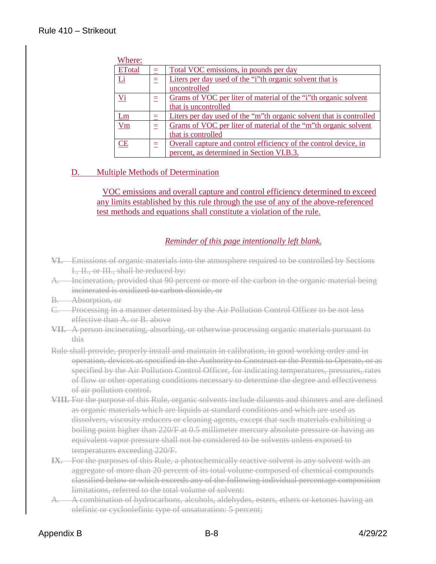| Where:        |   |                                                                     |
|---------------|---|---------------------------------------------------------------------|
| <b>ETotal</b> |   | Total VOC emissions, in pounds per day                              |
| Li            | = | Liters per day used of the "i"th organic solvent that is            |
|               |   | uncontrolled                                                        |
| $Vi$          | Ξ | Grams of VOC per liter of material of the "i"th organic solvent     |
|               |   | that is uncontrolled                                                |
| <u>Lm</u>     |   | Liters per day used of the "m"th organic solvent that is controlled |
| $V_{\rm m}$   |   | Grams of VOC per liter of material of the "m"th organic solvent     |
|               |   | that is controlled                                                  |
| <b>CE</b>     |   | Overall capture and control efficiency of the control device, in    |
|               |   | percent, as determined in Section VI.B.3.                           |

#### D. Multiple Methods of Determination

VOC emissions and overall capture and control efficiency determined to exceed any limits established by this rule through the use of any of the above-referenced test methods and equations shall constitute a violation of the rule.

#### *Reminder of this page intentionally left blank.*

- **VI.** Emissions of organic materials into the atmosphere required to be controlled by Sections I., II., or III., shall be reduced by:
- A. Incineration, provided that 90 percent or more of the carbon in the organic material being incinerated is oxidized to carbon dioxide, or
- B. Absorption, or
- C. Processing in a manner determined by the Air Pollution Control Officer to be not less effective than A. or B. above
- **VII.** A person incinerating, absorbing, or otherwise processing organic materials pursuant to this
- Rule shall provide, properly install and maintain in calibration, in good working order and in operation, devices as specified in the Authority to Construct or the Permit to Operate, or as specified by the Air Pollution Control Officer, for indicating temperatures, pressures, rates of flow or other operating conditions necessary to determine the degree and effectiveness of air pollution control.
- **VIII.** For the purpose of this Rule, organic solvents include diluents and thinners and are defined as organic materials which are liquids at standard conditions and which are used as dissolvers, viscosity reducers or cleaning agents, except that such materials exhibiting a boiling point higher than 220/F at 0.5 millimeter mercury absolute pressure or having an equivalent vapor pressure shall not be considered to be solvents unless exposed to temperatures exceeding 220/F.
- **IX.** For the purposes of this Rule, a photochemically reactive solvent is any solvent with an aggregate of more than 20 percent of its total volume composed of chemical compounds classified below or which exceeds any of the following individual percentage composition limitations, referred to the total volume of solvent:
- A. A combination of hydrocarbons, alcohols, aldehydes, esters, ethers or ketones having an olefinic or cycloolefinic type of unsaturation: 5 percent;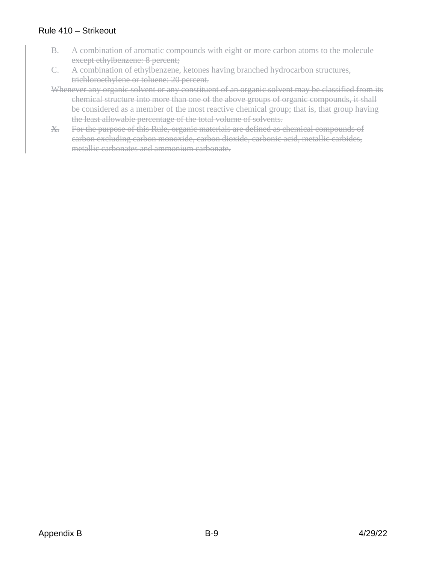#### Rule 410 – Strikeout

- B. A combination of aromatic compounds with eight or more carbon atoms to the molecule except ethylbenzene: 8 percent;
- C. A combination of ethylbenzene, ketones having branched hydrocarbon structures, trichloroethylene or toluene: 20 percent.
- Whenever any organic solvent or any constituent of an organic solvent may be classified from its chemical structure into more than one of the above groups of organic compounds, it shall be considered as a member of the most reactive chemical group; that is, that group having the least allowable percentage of the total volume of solvents.
- **X.** For the purpose of this Rule, organic materials are defined as chemical compounds of carbon excluding carbon monoxide, carbon dioxide, carbonic acid, metallic carbides, metallic carbonates and ammonium carbonate.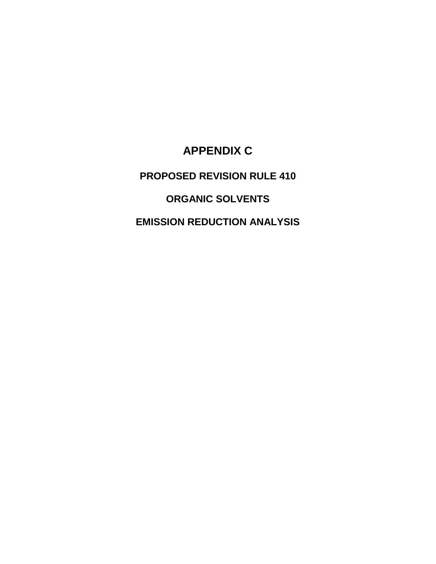## **APPENDIX C**

## **PROPOSED REVISION RULE 410**

## **ORGANIC SOLVENTS**

### **EMISSION REDUCTION ANALYSIS**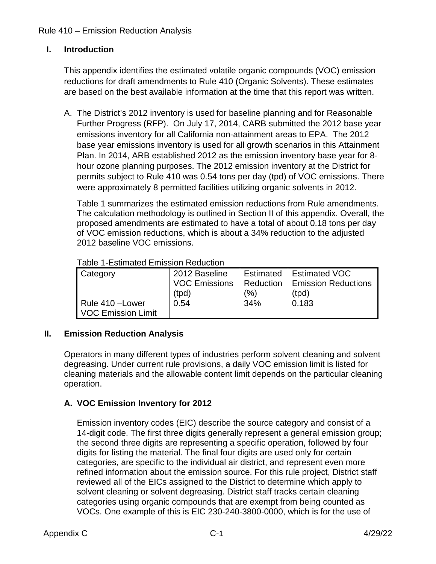#### Rule 410 – Emission Reduction Analysis

#### **I. Introduction**

This appendix identifies the estimated volatile organic compounds (VOC) emission reductions for draft amendments to Rule 410 (Organic Solvents). These estimates are based on the best available information at the time that this report was written.

A. The District's 2012 inventory is used for baseline planning and for Reasonable Further Progress (RFP). On July 17, 2014, CARB submitted the 2012 base year emissions inventory for all California non-attainment areas to EPA. The 2012 base year emissions inventory is used for all growth scenarios in this Attainment Plan. In 2014, ARB established 2012 as the emission inventory base year for 8 hour ozone planning purposes. The 2012 emission inventory at the District for permits subject to Rule 410 was 0.54 tons per day (tpd) of VOC emissions. There were approximately 8 permitted facilities utilizing organic solvents in 2012.

Table 1 summarizes the estimated emission reductions from Rule amendments. The calculation methodology is outlined in Section II of this appendix. Overall, the proposed amendments are estimated to have a total of about 0.18 tons per day of VOC emission reductions, which is about a 34% reduction to the adjusted 2012 baseline VOC emissions.

| <b>Category</b>    | 2012 Baseline        | Estimated | Estimated VOC              |
|--------------------|----------------------|-----------|----------------------------|
|                    | <b>VOC Emissions</b> | Reduction | <b>Emission Reductions</b> |
|                    | (tpd)                | (%)       | (tpd)                      |
| Rule 410 – Lower   | 0.54                 | 34%       | 0.183                      |
| VOC Emission Limit |                      |           |                            |

#### Table 1-Estimated Emission Reduction

#### **II. Emission Reduction Analysis**

Operators in many different types of industries perform solvent cleaning and solvent degreasing. Under current rule provisions, a daily VOC emission limit is listed for cleaning materials and the allowable content limit depends on the particular cleaning operation.

#### **A. VOC Emission Inventory for 2012**

Emission inventory codes (EIC) describe the source category and consist of a 14-digit code. The first three digits generally represent a general emission group; the second three digits are representing a specific operation, followed by four digits for listing the material. The final four digits are used only for certain categories, are specific to the individual air district, and represent even more refined information about the emission source. For this rule project, District staff reviewed all of the EICs assigned to the District to determine which apply to solvent cleaning or solvent degreasing. District staff tracks certain cleaning categories using organic compounds that are exempt from being counted as VOCs. One example of this is EIC 230-240-3800-0000, which is for the use of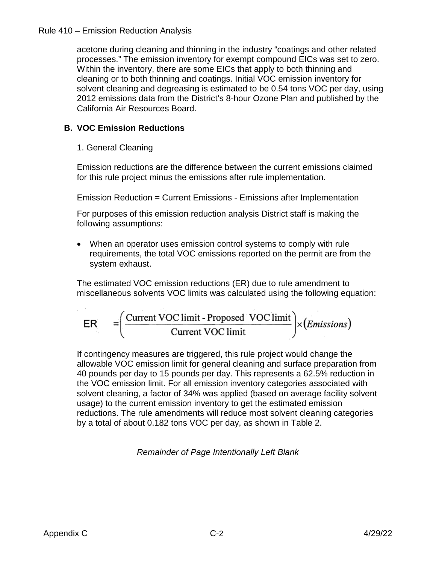#### Rule 410 – Emission Reduction Analysis

acetone during cleaning and thinning in the industry "coatings and other related processes." The emission inventory for exempt compound EICs was set to zero. Within the inventory, there are some EICs that apply to both thinning and cleaning or to both thinning and coatings. Initial VOC emission inventory for solvent cleaning and degreasing is estimated to be 0.54 tons VOC per day, using 2012 emissions data from the District's 8-hour Ozone Plan and published by the California Air Resources Board.

#### **B. VOC Emission Reductions**

#### 1. General Cleaning

Emission reductions are the difference between the current emissions claimed for this rule project minus the emissions after rule implementation.

Emission Reduction = Current Emissions - Emissions after Implementation

For purposes of this emission reduction analysis District staff is making the following assumptions:

• When an operator uses emission control systems to comply with rule requirements, the total VOC emissions reported on the permit are from the system exhaust.

The estimated VOC emission reductions (ER) due to rule amendment to miscellaneous solvents VOC limits was calculated using the following equation:

$$
ER = \left(\frac{\text{Current VOC limit - Proposed VOC limit}}{\text{Current VOC limit}}\right) \times (Emissions)
$$

If contingency measures are triggered, this rule project would change the allowable VOC emission limit for general cleaning and surface preparation from 40 pounds per day to 15 pounds per day. This represents a 62.5% reduction in the VOC emission limit. For all emission inventory categories associated with solvent cleaning, a factor of 34% was applied (based on average facility solvent usage) to the current emission inventory to get the estimated emission reductions. The rule amendments will reduce most solvent cleaning categories by a total of about 0.182 tons VOC per day, as shown in Table 2.

*Remainder of Page Intentionally Left Blank*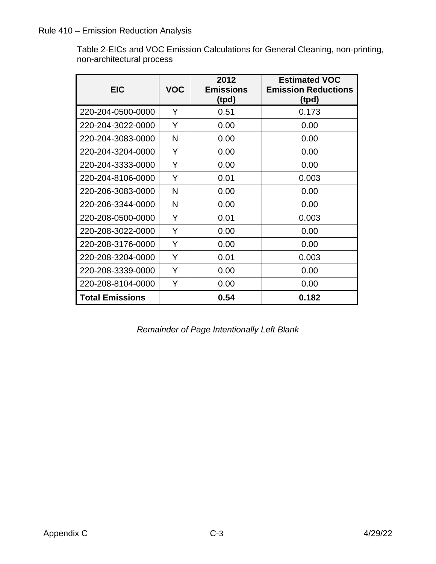#### Rule 410 – Emission Reduction Analysis

Table 2-EICs and VOC Emission Calculations for General Cleaning, non-printing, non-architectural process

| <b>EIC</b>             | <b>VOC</b> | 2012<br><b>Emissions</b><br>(tpd) | <b>Estimated VOC</b><br><b>Emission Reductions</b><br>(tpd) |
|------------------------|------------|-----------------------------------|-------------------------------------------------------------|
| 220-204-0500-0000      | Y          | 0.51                              | 0.173                                                       |
| 220-204-3022-0000      | Y          | 0.00                              | 0.00                                                        |
| 220-204-3083-0000      | N          | 0.00                              | 0.00                                                        |
| 220-204-3204-0000      | Y          | 0.00                              | 0.00                                                        |
| 220-204-3333-0000      | Y          | 0.00                              | 0.00                                                        |
| 220-204-8106-0000      | Y          | 0.01                              | 0.003                                                       |
| 220-206-3083-0000      | N          | 0.00                              | 0.00                                                        |
| 220-206-3344-0000      | N          | 0.00                              | 0.00                                                        |
| 220-208-0500-0000      | Y          | 0.01                              | 0.003                                                       |
| 220-208-3022-0000      | Y          | 0.00                              | 0.00                                                        |
| 220-208-3176-0000      | Y          | 0.00                              | 0.00                                                        |
| 220-208-3204-0000      | Y          | 0.01                              | 0.003                                                       |
| 220-208-3339-0000      | Y          | 0.00                              | 0.00                                                        |
| 220-208-8104-0000      | Y          | 0.00                              | 0.00                                                        |
| <b>Total Emissions</b> |            | 0.54                              | 0.182                                                       |

*Remainder of Page Intentionally Left Blank*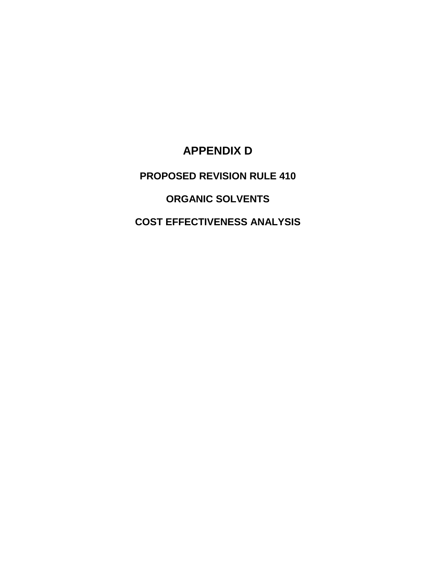## **APPENDIX D**

## **PROPOSED REVISION RULE 410**

## **ORGANIC SOLVENTS**

## **COST EFFECTIVENESS ANALYSIS**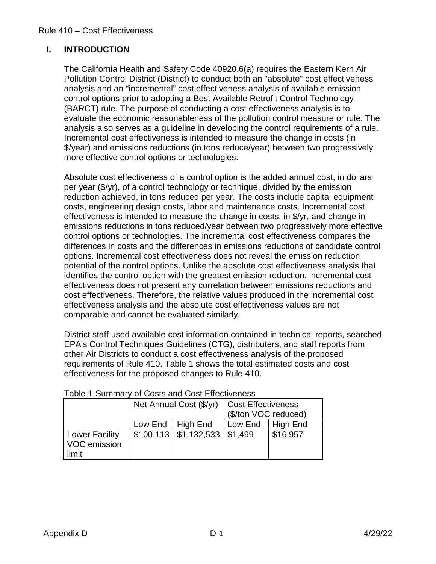#### **I. INTRODUCTION**

The California Health and Safety Code 40920.6(a) requires the Eastern Kern Air Pollution Control District (District) to conduct both an "absolute" cost effectiveness analysis and an "incremental" cost effectiveness analysis of available emission control options prior to adopting a Best Available Retrofit Control Technology (BARCT) rule. The purpose of conducting a cost effectiveness analysis is to evaluate the economic reasonableness of the pollution control measure or rule. The analysis also serves as a guideline in developing the control requirements of a rule. Incremental cost effectiveness is intended to measure the change in costs (in \$/year) and emissions reductions (in tons reduce/year) between two progressively more effective control options or technologies.

Absolute cost effectiveness of a control option is the added annual cost, in dollars per year (\$/yr), of a control technology or technique, divided by the emission reduction achieved, in tons reduced per year. The costs include capital equipment costs, engineering design costs, labor and maintenance costs. Incremental cost effectiveness is intended to measure the change in costs, in \$/yr, and change in emissions reductions in tons reduced/year between two progressively more effective control options or technologies. The incremental cost effectiveness compares the differences in costs and the differences in emissions reductions of candidate control options. Incremental cost effectiveness does not reveal the emission reduction potential of the control options. Unlike the absolute cost effectiveness analysis that identifies the control option with the greatest emission reduction, incremental cost effectiveness does not present any correlation between emissions reductions and cost effectiveness. Therefore, the relative values produced in the incremental cost effectiveness analysis and the absolute cost effectiveness values are not comparable and cannot be evaluated similarly.

District staff used available cost information contained in technical reports, searched EPA's Control Techniques Guidelines (CTG), distributers, and staff reports from other Air Districts to conduct a cost effectiveness analysis of the proposed requirements of Rule 410. Table 1 shows the total estimated costs and cost effectiveness for the proposed changes to Rule 410.

|                                                |                    | Net Annual Cost (\$/yr)    | <b>Cost Effectiveness</b><br>(\$/ton VOC reduced) |          |
|------------------------------------------------|--------------------|----------------------------|---------------------------------------------------|----------|
|                                                | Low End   High End |                            | Low $End$   High End                              |          |
| <b>Lower Facility</b><br>VOC emission<br>limit |                    | $$100,113 \mid $1,132,533$ | \$1,499                                           | \$16,957 |

Table 1-Summary of Costs and Cost Effectiveness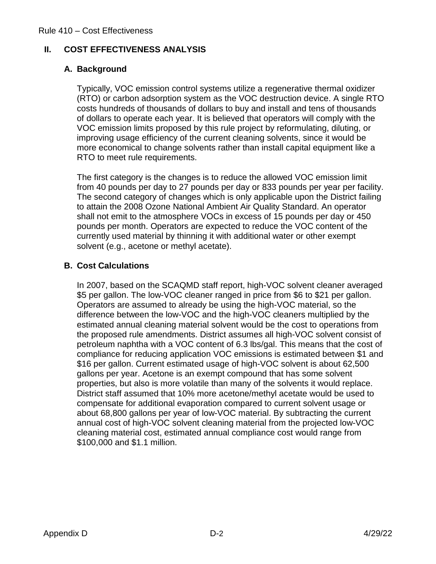#### **II. COST EFFECTIVENESS ANALYSIS**

#### **A. Background**

Typically, VOC emission control systems utilize a regenerative thermal oxidizer (RTO) or carbon adsorption system as the VOC destruction device. A single RTO costs hundreds of thousands of dollars to buy and install and tens of thousands of dollars to operate each year. It is believed that operators will comply with the VOC emission limits proposed by this rule project by reformulating, diluting, or improving usage efficiency of the current cleaning solvents, since it would be more economical to change solvents rather than install capital equipment like a RTO to meet rule requirements.

The first category is the changes is to reduce the allowed VOC emission limit from 40 pounds per day to 27 pounds per day or 833 pounds per year per facility. The second category of changes which is only applicable upon the District failing to attain the 2008 Ozone National Ambient Air Quality Standard. An operator shall not emit to the atmosphere VOCs in excess of 15 pounds per day or 450 pounds per month. Operators are expected to reduce the VOC content of the currently used material by thinning it with additional water or other exempt solvent (e.g., acetone or methyl acetate).

#### **B. Cost Calculations**

In 2007, based on the SCAQMD staff report, high-VOC solvent cleaner averaged \$5 per gallon. The low-VOC cleaner ranged in price from \$6 to \$21 per gallon. Operators are assumed to already be using the high-VOC material, so the difference between the low-VOC and the high-VOC cleaners multiplied by the estimated annual cleaning material solvent would be the cost to operations from the proposed rule amendments. District assumes all high-VOC solvent consist of petroleum naphtha with a VOC content of 6.3 lbs/gal. This means that the cost of compliance for reducing application VOC emissions is estimated between \$1 and \$16 per gallon. Current estimated usage of high-VOC solvent is about 62,500 gallons per year. Acetone is an exempt compound that has some solvent properties, but also is more volatile than many of the solvents it would replace. District staff assumed that 10% more acetone/methyl acetate would be used to compensate for additional evaporation compared to current solvent usage or about 68,800 gallons per year of low-VOC material. By subtracting the current annual cost of high-VOC solvent cleaning material from the projected low-VOC cleaning material cost, estimated annual compliance cost would range from \$100,000 and \$1.1 million.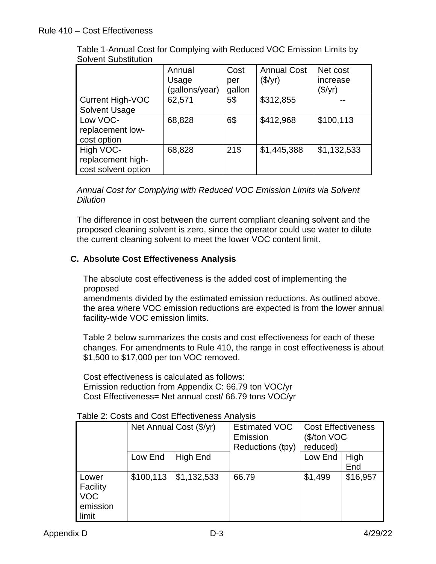|                                                       | Annual<br>Usage<br>(gallons/year) | Cost<br>per<br>gallon | <b>Annual Cost</b><br>$(\$/yr)$ | Net cost<br>increase<br>(\$/yr) |
|-------------------------------------------------------|-----------------------------------|-----------------------|---------------------------------|---------------------------------|
| <b>Current High-VOC</b><br><b>Solvent Usage</b>       | 62,571                            | 5\$                   | \$312,855                       |                                 |
| Low VOC-<br>replacement low-<br>cost option           | 68,828                            | 6\$                   | \$412,968                       | \$100,113                       |
| High VOC-<br>replacement high-<br>cost solvent option | 68,828                            | 21\$                  | \$1,445,388                     | \$1,132,533                     |

Table 1-Annual Cost for Complying with Reduced VOC Emission Limits by Solvent Substitution

*Annual Cost for Complying with Reduced VOC Emission Limits via Solvent Dilution* 

The difference in cost between the current compliant cleaning solvent and the proposed cleaning solvent is zero, since the operator could use water to dilute the current cleaning solvent to meet the lower VOC content limit.

#### **C. Absolute Cost Effectiveness Analysis**

The absolute cost effectiveness is the added cost of implementing the proposed

amendments divided by the estimated emission reductions. As outlined above, the area where VOC emission reductions are expected is from the lower annual facility-wide VOC emission limits.

Table 2 below summarizes the costs and cost effectiveness for each of these changes. For amendments to Rule 410, the range in cost effectiveness is about \$1,500 to \$17,000 per ton VOC removed.

Cost effectiveness is calculated as follows: Emission reduction from Appendix C: 66.79 ton VOC/yr Cost Effectiveness= Net annual cost/ 66.79 tons VOC/yr

|                                                      | Net Annual Cost (\$/yr) |             | <b>Estimated VOC</b><br>Emission<br>Reductions (tpy) | <b>Cost Effectiveness</b><br>(\$/ton VOC<br>reduced) |             |
|------------------------------------------------------|-------------------------|-------------|------------------------------------------------------|------------------------------------------------------|-------------|
|                                                      | Low End                 | High End    |                                                      | Low End                                              | High<br>End |
| Lower<br>Facility<br><b>VOC</b><br>emission<br>limit | \$100,113               | \$1,132,533 | 66.79                                                | \$1,499                                              | \$16,957    |

Table 2: Costs and Cost Effectiveness Analysis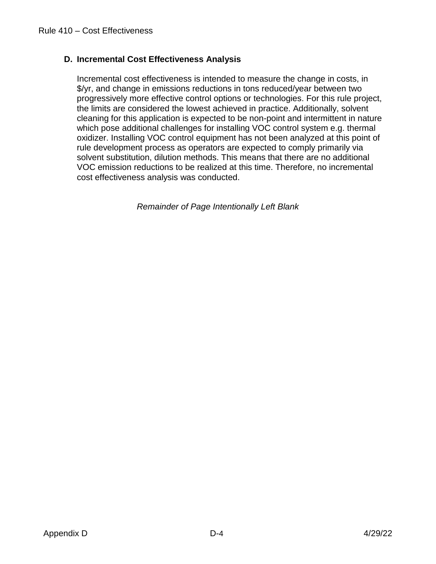#### **D. Incremental Cost Effectiveness Analysis**

Incremental cost effectiveness is intended to measure the change in costs, in \$/yr, and change in emissions reductions in tons reduced/year between two progressively more effective control options or technologies. For this rule project, the limits are considered the lowest achieved in practice. Additionally, solvent cleaning for this application is expected to be non-point and intermittent in nature which pose additional challenges for installing VOC control system e.g. thermal oxidizer. Installing VOC control equipment has not been analyzed at this point of rule development process as operators are expected to comply primarily via solvent substitution, dilution methods. This means that there are no additional VOC emission reductions to be realized at this time. Therefore, no incremental cost effectiveness analysis was conducted.

*Remainder of Page Intentionally Left Blank*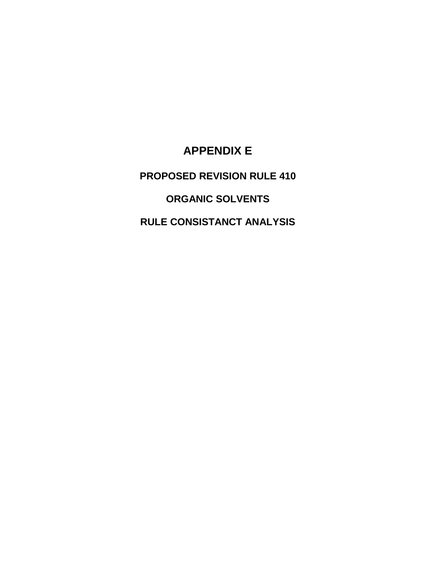## **APPENDIX E**

## **PROPOSED REVISION RULE 410**

## **ORGANIC SOLVENTS**

### **RULE CONSISTANCT ANALYSIS**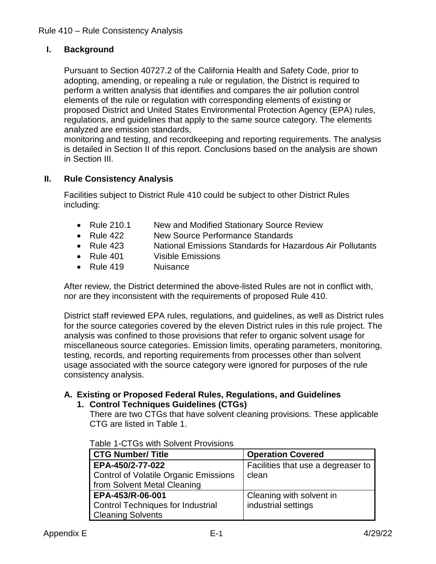#### **I. Background**

Pursuant to Section 40727.2 of the California Health and Safety Code, prior to adopting, amending, or repealing a rule or regulation, the District is required to perform a written analysis that identifies and compares the air pollution control elements of the rule or regulation with corresponding elements of existing or proposed District and United States Environmental Protection Agency (EPA) rules, regulations, and guidelines that apply to the same source category. The elements analyzed are emission standards,

monitoring and testing, and recordkeeping and reporting requirements. The analysis is detailed in Section II of this report. Conclusions based on the analysis are shown in Section III.

#### **II. Rule Consistency Analysis**

Facilities subject to District Rule 410 could be subject to other District Rules including:

- Rule 210.1 New and Modified Stationary Source Review
- Rule 422 New Source Performance Standards
- Rule 423 National Emissions Standards for Hazardous Air Pollutants
- Rule 401 Visible Emissions
- Rule 419 Nuisance

After review, the District determined the above-listed Rules are not in conflict with, nor are they inconsistent with the requirements of proposed Rule 410.

District staff reviewed EPA rules, regulations, and guidelines, as well as District rules for the source categories covered by the eleven District rules in this rule project. The analysis was confined to those provisions that refer to organic solvent usage for miscellaneous source categories. Emission limits, operating parameters, monitoring, testing, records, and reporting requirements from processes other than solvent usage associated with the source category were ignored for purposes of the rule consistency analysis.

#### **A. Existing or Proposed Federal Rules, Regulations, and Guidelines**

#### **1. Control Techniques Guidelines (CTGs)**

There are two CTGs that have solvent cleaning provisions. These applicable CTG are listed in Table 1.

| <b>CTG Number/ Title</b>                     | <b>Operation Covered</b>           |
|----------------------------------------------|------------------------------------|
| EPA-450/2-77-022                             | Facilities that use a degreaser to |
| <b>Control of Volatile Organic Emissions</b> | clean                              |
| from Solvent Metal Cleaning                  |                                    |
| EPA-453/R-06-001                             | Cleaning with solvent in           |
| <b>Control Techniques for Industrial</b>     | industrial settings                |
| <b>Cleaning Solvents</b>                     |                                    |

Table 1-CTGs with Solvent Provisions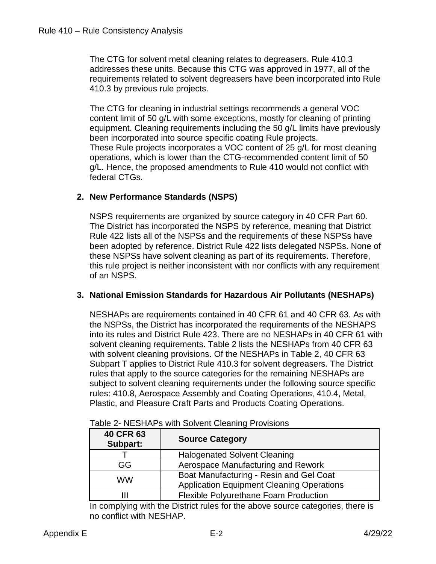The CTG for solvent metal cleaning relates to degreasers. Rule 410.3 addresses these units. Because this CTG was approved in 1977, all of the requirements related to solvent degreasers have been incorporated into Rule 410.3 by previous rule projects.

The CTG for cleaning in industrial settings recommends a general VOC content limit of 50 g/L with some exceptions, mostly for cleaning of printing equipment. Cleaning requirements including the 50 g/L limits have previously been incorporated into source specific coating Rule projects. These Rule projects incorporates a VOC content of 25 g/L for most cleaning operations, which is lower than the CTG-recommended content limit of 50 g/L. Hence, the proposed amendments to Rule 410 would not conflict with federal CTGs.

#### **2. New Performance Standards (NSPS)**

NSPS requirements are organized by source category in 40 CFR Part 60. The District has incorporated the NSPS by reference, meaning that District Rule 422 lists all of the NSPSs and the requirements of these NSPSs have been adopted by reference. District Rule 422 lists delegated NSPSs. None of these NSPSs have solvent cleaning as part of its requirements. Therefore, this rule project is neither inconsistent with nor conflicts with any requirement of an NSPS.

#### **3. National Emission Standards for Hazardous Air Pollutants (NESHAPs)**

NESHAPs are requirements contained in 40 CFR 61 and 40 CFR 63. As with the NSPSs, the District has incorporated the requirements of the NESHAPS into its rules and District Rule 423. There are no NESHAPs in 40 CFR 61 with solvent cleaning requirements. Table 2 lists the NESHAPs from 40 CFR 63 with solvent cleaning provisions. Of the NESHAPs in Table 2, 40 CFR 63 Subpart T applies to District Rule 410.3 for solvent degreasers. The District rules that apply to the source categories for the remaining NESHAPs are subject to solvent cleaning requirements under the following source specific rules: 410.8, Aerospace Assembly and Coating Operations, 410.4, Metal, Plastic, and Pleasure Craft Parts and Products Coating Operations.

| <b>40 CFR 63</b><br>Subpart: | <b>Source Category</b>                                                                      |
|------------------------------|---------------------------------------------------------------------------------------------|
|                              | <b>Halogenated Solvent Cleaning</b>                                                         |
| GG.                          | Aerospace Manufacturing and Rework                                                          |
| <b>WW</b>                    | Boat Manufacturing - Resin and Gel Coat<br><b>Application Equipment Cleaning Operations</b> |
|                              | <b>Flexible Polyurethane Foam Production</b>                                                |

|  |  | Table 2- NESHAPs with Solvent Cleaning Provisions |
|--|--|---------------------------------------------------|
|  |  |                                                   |

In complying with the District rules for the above source categories, there is no conflict with NESHAP.